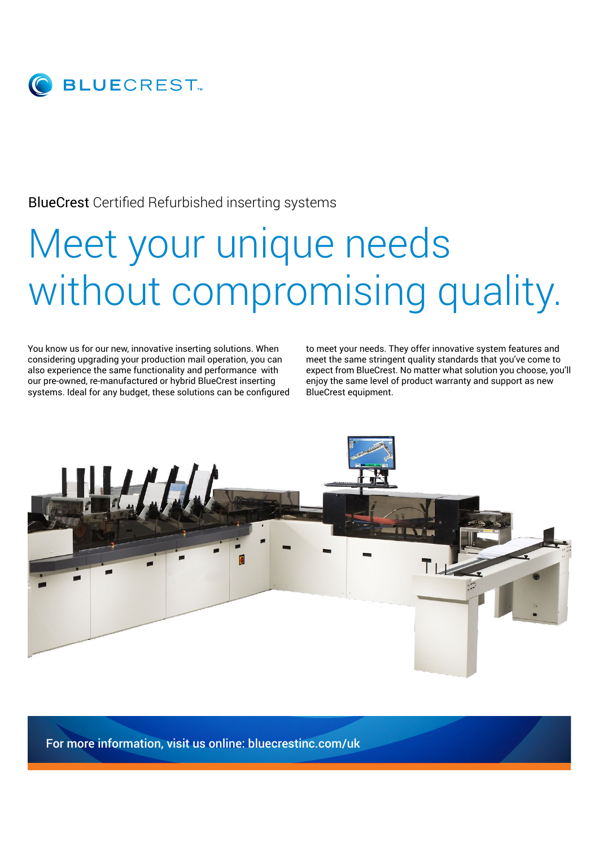

#### BlueCrest Certified Refurbished inserting systems

# Meet your unique needs without compromising quality.

You know us for our new, innovative inserting solutions. When considering upgrading your production mail operation, you can also experience the same functionality and performance with our pre-owned, re-manufactured or hybrid BlueCrest inserting systems. Ideal for any budget, these solutions can be configured to meet your needs. They offer innovative system features and meet the same stringent quality standards that you've come to expect from BlueCrest. No matter what solution you choose, you'll enjoy the same level of product warranty and support as new BlueCrest equipment.



For more information, visit us online: bluecrestinc.com/uk